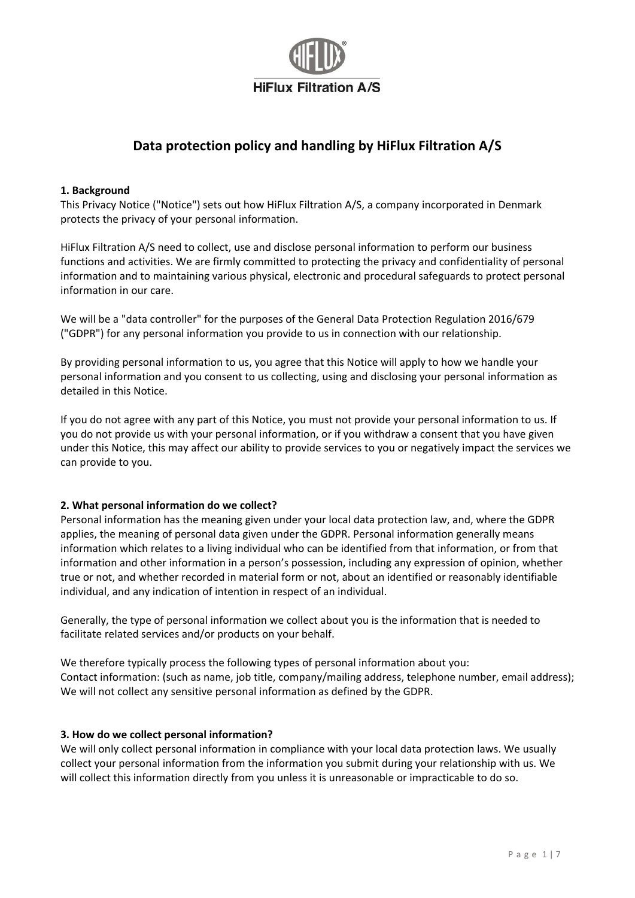

# **Data protection policy and handling by HiFlux Filtration A/S**

#### **1. Background**

This Privacy Notice ("Notice") sets out how HiFlux Filtration A/S, a company incorporated in Denmark protects the privacy of your personal information.

HiFlux Filtration A/S need to collect, use and disclose personal information to perform our business functions and activities. We are firmly committed to protecting the privacy and confidentiality of personal information and to maintaining various physical, electronic and procedural safeguards to protect personal information in our care.

We will be a "data controller" for the purposes of the General Data Protection Regulation 2016/679 ("GDPR") for any personal information you provide to us in connection with our relationship.

By providing personal information to us, you agree that this Notice will apply to how we handle your personal information and you consent to us collecting, using and disclosing your personal information as detailed in this Notice.

If you do not agree with any part of this Notice, you must not provide your personal information to us. If you do not provide us with your personal information, or if you withdraw a consent that you have given under this Notice, this may affect our ability to provide services to you or negatively impact the services we can provide to you.

## **2. What personal information do we collect?**

Personal information has the meaning given under your local data protection law, and, where the GDPR applies, the meaning of personal data given under the GDPR. Personal information generally means information which relates to a living individual who can be identified from that information, or from that information and other information in a person's possession, including any expression of opinion, whether true or not, and whether recorded in material form or not, about an identified or reasonably identifiable individual, and any indication of intention in respect of an individual.

Generally, the type of personal information we collect about you is the information that is needed to facilitate related services and/or products on your behalf.

We therefore typically process the following types of personal information about you: Contact information: (such as name, job title, company/mailing address, telephone number, email address); We will not collect any sensitive personal information as defined by the GDPR.

## **3. How do we collect personal information?**

We will only collect personal information in compliance with your local data protection laws. We usually collect your personal information from the information you submit during your relationship with us. We will collect this information directly from you unless it is unreasonable or impracticable to do so.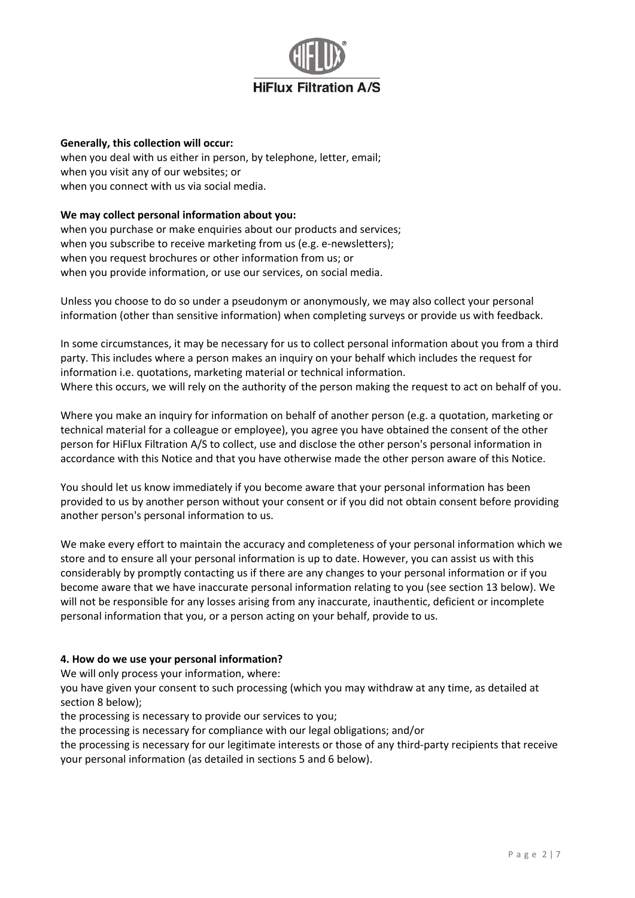

#### **Generally, this collection will occur:**

when you deal with us either in person, by telephone, letter, email; when you visit any of our websites; or when you connect with us via social media.

#### **We may collect personal information about you:**

when you purchase or make enquiries about our products and services; when you subscribe to receive marketing from us (e.g. e-newsletters); when you request brochures or other information from us; or when you provide information, or use our services, on social media.

Unless you choose to do so under a pseudonym or anonymously, we may also collect your personal information (other than sensitive information) when completing surveys or provide us with feedback.

In some circumstances, it may be necessary for us to collect personal information about you from a third party. This includes where a person makes an inquiry on your behalf which includes the request for information i.e. quotations, marketing material or technical information. Where this occurs, we will rely on the authority of the person making the request to act on behalf of you.

Where you make an inquiry for information on behalf of another person (e.g. a quotation, marketing or technical material for a colleague or employee), you agree you have obtained the consent of the other person for HiFlux Filtration A/S to collect, use and disclose the other person's personal information in accordance with this Notice and that you have otherwise made the other person aware of this Notice.

You should let us know immediately if you become aware that your personal information has been provided to us by another person without your consent or if you did not obtain consent before providing another person's personal information to us.

We make every effort to maintain the accuracy and completeness of your personal information which we store and to ensure all your personal information is up to date. However, you can assist us with this considerably by promptly contacting us if there are any changes to your personal information or if you become aware that we have inaccurate personal information relating to you (see section 13 below). We will not be responsible for any losses arising from any inaccurate, inauthentic, deficient or incomplete personal information that you, or a person acting on your behalf, provide to us.

## **4. How do we use your personal information?**

We will only process your information, where:

you have given your consent to such processing (which you may withdraw at any time, as detailed at section 8 below);

the processing is necessary to provide our services to you;

the processing is necessary for compliance with our legal obligations; and/or

the processing is necessary for our legitimate interests or those of any third-party recipients that receive your personal information (as detailed in sections 5 and 6 below).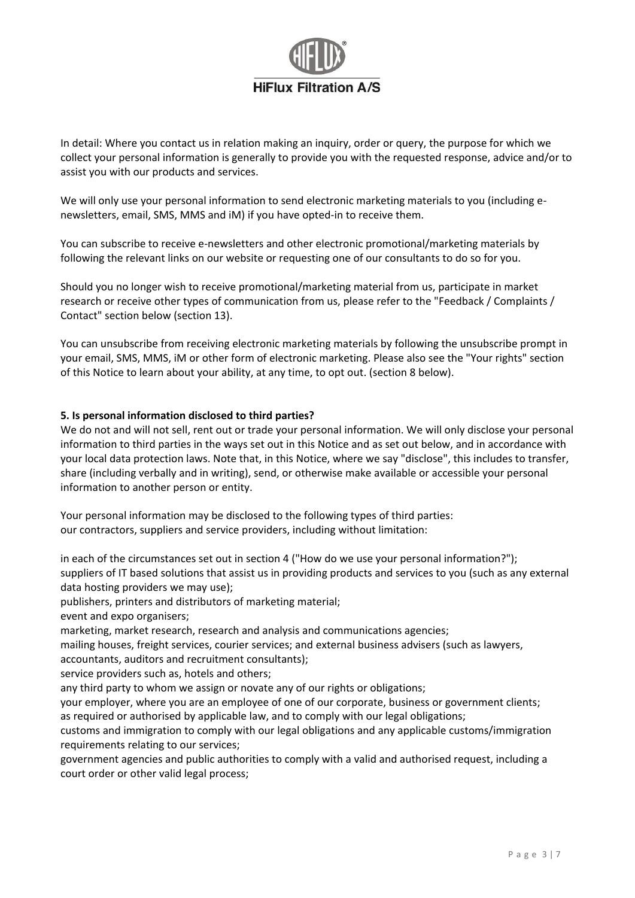

In detail: Where you contact us in relation making an inquiry, order or query, the purpose for which we collect your personal information is generally to provide you with the requested response, advice and/or to assist you with our products and services.

We will only use your personal information to send electronic marketing materials to you (including enewsletters, email, SMS, MMS and iM) if you have opted-in to receive them.

You can subscribe to receive e-newsletters and other electronic promotional/marketing materials by following the relevant links on our website or requesting one of our consultants to do so for you.

Should you no longer wish to receive promotional/marketing material from us, participate in market research or receive other types of communication from us, please refer to the "Feedback / Complaints / Contact" section below (section 13).

You can unsubscribe from receiving electronic marketing materials by following the unsubscribe prompt in your email, SMS, MMS, iM or other form of electronic marketing. Please also see the "Your rights" section of this Notice to learn about your ability, at any time, to opt out. (section 8 below).

## **5. Is personal information disclosed to third parties?**

We do not and will not sell, rent out or trade your personal information. We will only disclose your personal information to third parties in the ways set out in this Notice and as set out below, and in accordance with your local data protection laws. Note that, in this Notice, where we say "disclose", this includes to transfer, share (including verbally and in writing), send, or otherwise make available or accessible your personal information to another person or entity.

Your personal information may be disclosed to the following types of third parties: our contractors, suppliers and service providers, including without limitation:

in each of the circumstances set out in section 4 ("How do we use your personal information?"); suppliers of IT based solutions that assist us in providing products and services to you (such as any external data hosting providers we may use);

publishers, printers and distributors of marketing material;

event and expo organisers;

marketing, market research, research and analysis and communications agencies;

mailing houses, freight services, courier services; and external business advisers (such as lawyers,

accountants, auditors and recruitment consultants);

service providers such as, hotels and others;

any third party to whom we assign or novate any of our rights or obligations;

your employer, where you are an employee of one of our corporate, business or government clients; as required or authorised by applicable law, and to comply with our legal obligations;

customs and immigration to comply with our legal obligations and any applicable customs/immigration requirements relating to our services;

government agencies and public authorities to comply with a valid and authorised request, including a court order or other valid legal process;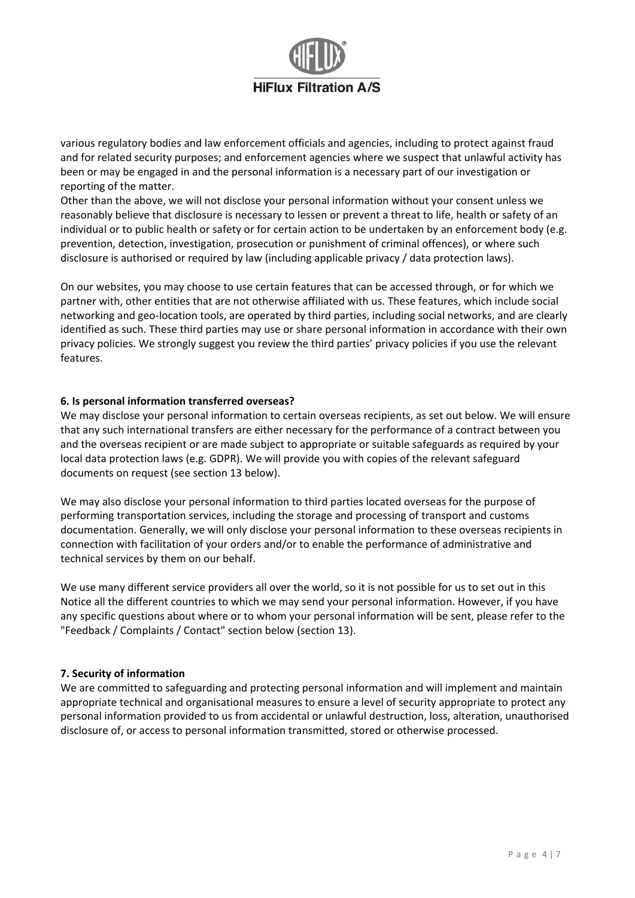

various regulatory bodies and law enforcement officials and agencies, including to protect against fraud and for related security purposes; and enforcement agencies where we suspect that unlawful activity has been or may be engaged in and the personal information is a necessary part of our investigation or reporting of the matter.

Other than the above, we will not disclose your personal information without your consent unless we reasonably believe that disclosure is necessary to lessen or prevent a threat to life, health or safety of an individual or to public health or safety or for certain action to be undertaken by an enforcement body (e.g. prevention, detection, investigation, prosecution or punishment of criminal offences), or where such disclosure is authorised or required by law (including applicable privacy / data protection laws).

On our websites, you may choose to use certain features that can be accessed through, or for which we partner with, other entities that are not otherwise affiliated with us. These features, which include social networking and geo-location tools, are operated by third parties, including social networks, and are clearly identified as such. These third parties may use or share personal information in accordance with their own privacy policies. We strongly suggest you review the third parties' privacy policies if you use the relevant features.

#### **6. Is personal information transferred overseas?**

We may disclose your personal information to certain overseas recipients, as set out below. We will ensure that any such international transfers are either necessary for the performance of a contract between you and the overseas recipient or are made subject to appropriate or suitable safeguards as required by your local data protection laws (e.g. GDPR). We will provide you with copies of the relevant safeguard documents on request (see section 13 below).

We may also disclose your personal information to third parties located overseas for the purpose of performing transportation services, including the storage and processing of transport and customs documentation. Generally, we will only disclose your personal information to these overseas recipients in connection with facilitation of your orders and/or to enable the performance of administrative and technical services by them on our behalf.

We use many different service providers all over the world, so it is not possible for us to set out in this Notice all the different countries to which we may send your personal information. However, if you have any specific questions about where or to whom your personal information will be sent, please refer to the "Feedback / Complaints / Contact" section below (section 13).

## **7. Security of information**

We are committed to safeguarding and protecting personal information and will implement and maintain appropriate technical and organisational measures to ensure a level of security appropriate to protect any personal information provided to us from accidental or unlawful destruction, loss, alteration, unauthorised disclosure of, or access to personal information transmitted, stored or otherwise processed.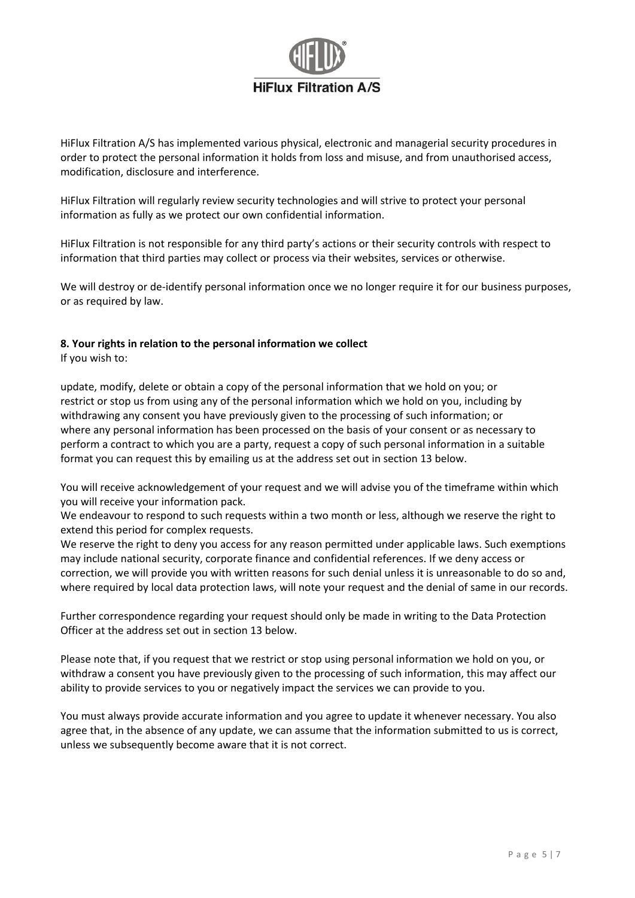

HiFlux Filtration A/S has implemented various physical, electronic and managerial security procedures in order to protect the personal information it holds from loss and misuse, and from unauthorised access, modification, disclosure and interference.

HiFlux Filtration will regularly review security technologies and will strive to protect your personal information as fully as we protect our own confidential information.

HiFlux Filtration is not responsible for any third party's actions or their security controls with respect to information that third parties may collect or process via their websites, services or otherwise.

We will destroy or de-identify personal information once we no longer require it for our business purposes, or as required by law.

# **8. Your rights in relation to the personal information we collect**

If you wish to:

update, modify, delete or obtain a copy of the personal information that we hold on you; or restrict or stop us from using any of the personal information which we hold on you, including by withdrawing any consent you have previously given to the processing of such information; or where any personal information has been processed on the basis of your consent or as necessary to perform a contract to which you are a party, request a copy of such personal information in a suitable format you can request this by emailing us at the address set out in section 13 below.

You will receive acknowledgement of your request and we will advise you of the timeframe within which you will receive your information pack.

We endeavour to respond to such requests within a two month or less, although we reserve the right to extend this period for complex requests.

We reserve the right to deny you access for any reason permitted under applicable laws. Such exemptions may include national security, corporate finance and confidential references. If we deny access or correction, we will provide you with written reasons for such denial unless it is unreasonable to do so and, where required by local data protection laws, will note your request and the denial of same in our records.

Further correspondence regarding your request should only be made in writing to the Data Protection Officer at the address set out in section 13 below.

Please note that, if you request that we restrict or stop using personal information we hold on you, or withdraw a consent you have previously given to the processing of such information, this may affect our ability to provide services to you or negatively impact the services we can provide to you.

You must always provide accurate information and you agree to update it whenever necessary. You also agree that, in the absence of any update, we can assume that the information submitted to us is correct, unless we subsequently become aware that it is not correct.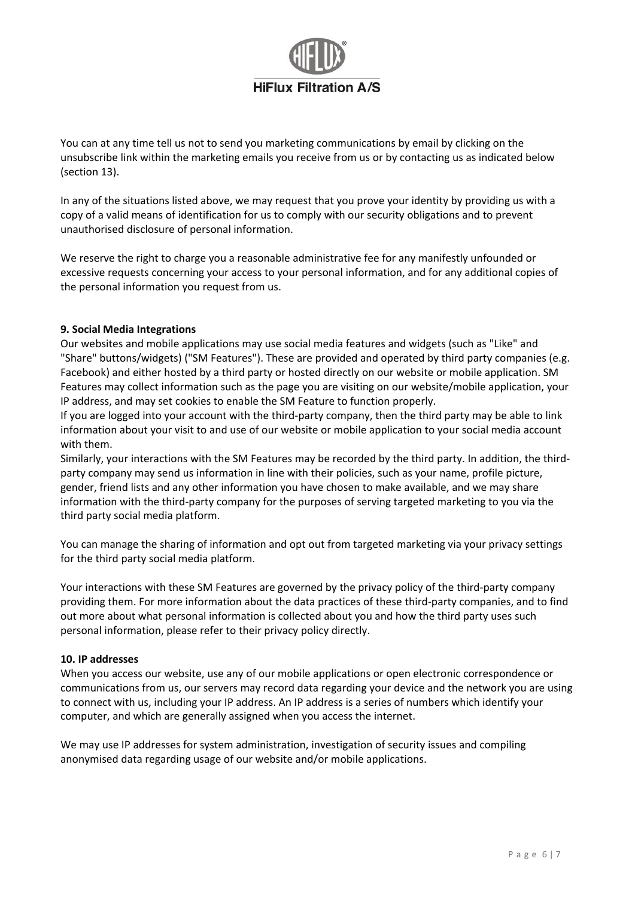

You can at any time tell us not to send you marketing communications by email by clicking on the unsubscribe link within the marketing emails you receive from us or by contacting us as indicated below (section 13).

In any of the situations listed above, we may request that you prove your identity by providing us with a copy of a valid means of identification for us to comply with our security obligations and to prevent unauthorised disclosure of personal information.

We reserve the right to charge you a reasonable administrative fee for any manifestly unfounded or excessive requests concerning your access to your personal information, and for any additional copies of the personal information you request from us.

## **9. Social Media Integrations**

Our websites and mobile applications may use social media features and widgets (such as "Like" and "Share" buttons/widgets) ("SM Features"). These are provided and operated by third party companies (e.g. Facebook) and either hosted by a third party or hosted directly on our website or mobile application. SM Features may collect information such as the page you are visiting on our website/mobile application, your IP address, and may set cookies to enable the SM Feature to function properly.

If you are logged into your account with the third-party company, then the third party may be able to link information about your visit to and use of our website or mobile application to your social media account with them.

Similarly, your interactions with the SM Features may be recorded by the third party. In addition, the thirdparty company may send us information in line with their policies, such as your name, profile picture, gender, friend lists and any other information you have chosen to make available, and we may share information with the third-party company for the purposes of serving targeted marketing to you via the third party social media platform.

You can manage the sharing of information and opt out from targeted marketing via your privacy settings for the third party social media platform.

Your interactions with these SM Features are governed by the privacy policy of the third-party company providing them. For more information about the data practices of these third-party companies, and to find out more about what personal information is collected about you and how the third party uses such personal information, please refer to their privacy policy directly.

## **10. IP addresses**

When you access our website, use any of our mobile applications or open electronic correspondence or communications from us, our servers may record data regarding your device and the network you are using to connect with us, including your IP address. An IP address is a series of numbers which identify your computer, and which are generally assigned when you access the internet.

We may use IP addresses for system administration, investigation of security issues and compiling anonymised data regarding usage of our website and/or mobile applications.